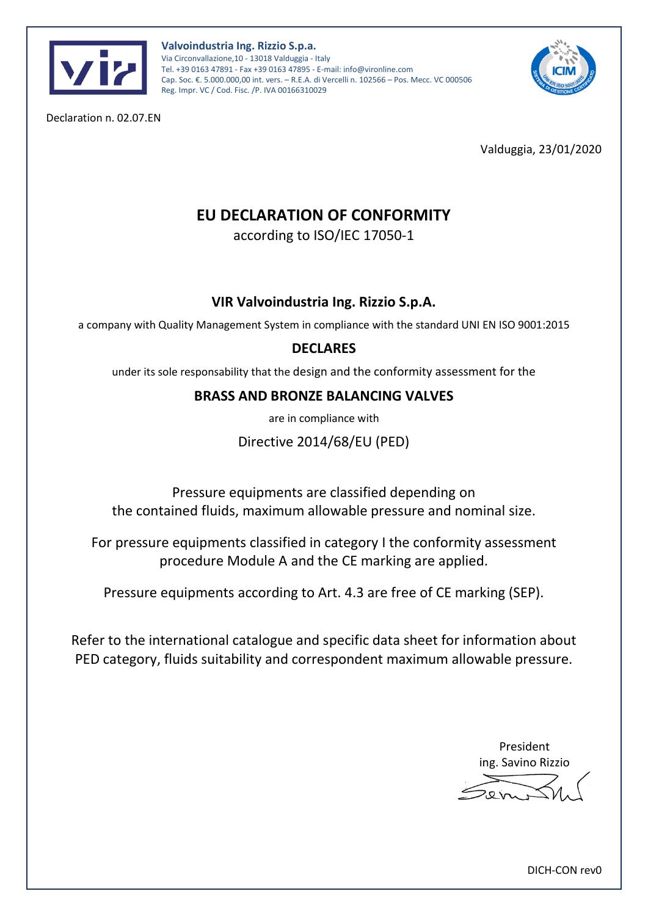



Declaration n. 02.07.EN

Valduggia, 23/01/2020

# **EU DECLARATION OF CONFORMITY**

according to ISO/IEC 17050-1

## **VIR Valvoindustria Ing. Rizzio S.p.A.**

a company with Quality Management System in compliance with the standard UNI EN ISO 9001:2015

## **DECLARES**

under its sole responsability that the design and the conformity assessment for the

### **BRASS AND BRONZE BALANCING VALVES**

are in compliance with

Directive 2014/68/EU (PED)

Pressure equipments are classified depending on the contained fluids, maximum allowable pressure and nominal size.

For pressure equipments classified in category I the conformity assessment procedure Module A and the CE marking are applied.

Pressure equipments according to Art. 4.3 are free of CE marking (SEP).

Refer to the international catalogue and specific data sheet for information about PED category, fluids suitability and correspondent maximum allowable pressure.

> President ing. Savino Rizzio

DICH-CON rev0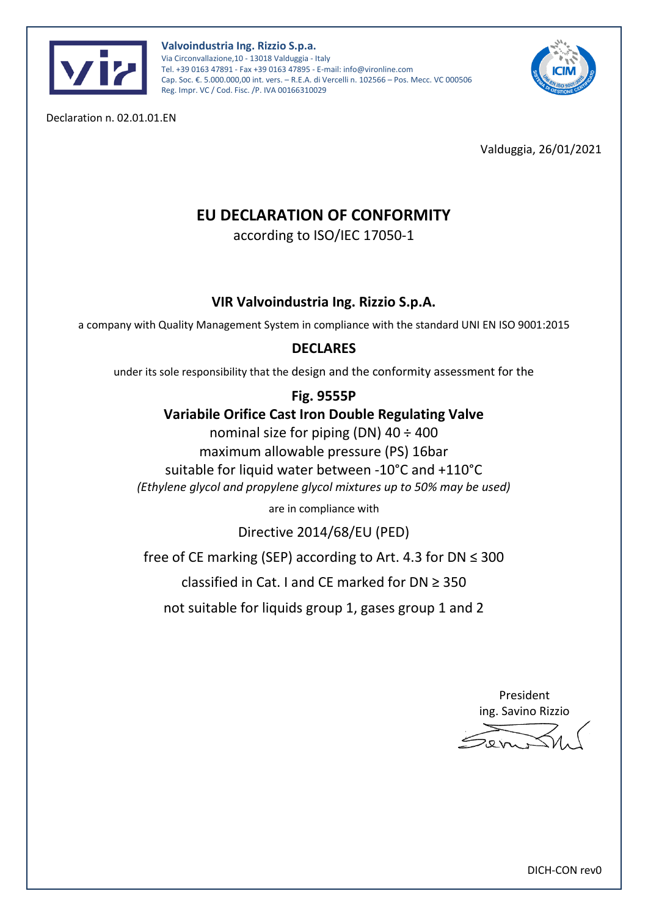



Declaration n. 02.01.01.EN

Valduggia, 26/01/2021

# **EU DECLARATION OF CONFORMITY**

according to ISO/IEC 17050-1

### **VIR Valvoindustria Ing. Rizzio S.p.A.**

a company with Quality Management System in compliance with the standard UNI EN ISO 9001:2015

#### **DECLARES**

under its sole responsibility that the design and the conformity assessment for the

#### **Fig. 9555P**

### **Variabile Orifice Cast Iron Double Regulating Valve**

nominal size for piping (DN)  $40 \div 400$ 

maximum allowable pressure (PS) 16bar

suitable for liquid water between -10°C and +110°C

*(Ethylene glycol and propylene glycol mixtures up to 50% may be used)*

are in compliance with

Directive 2014/68/EU (PED)

free of CE marking (SEP) according to Art. 4.3 for DN  $\leq$  300

classified in Cat. I and CE marked for DN ≥ 350

not suitable for liquids group 1, gases group 1 and 2

President ing. Savino Rizzio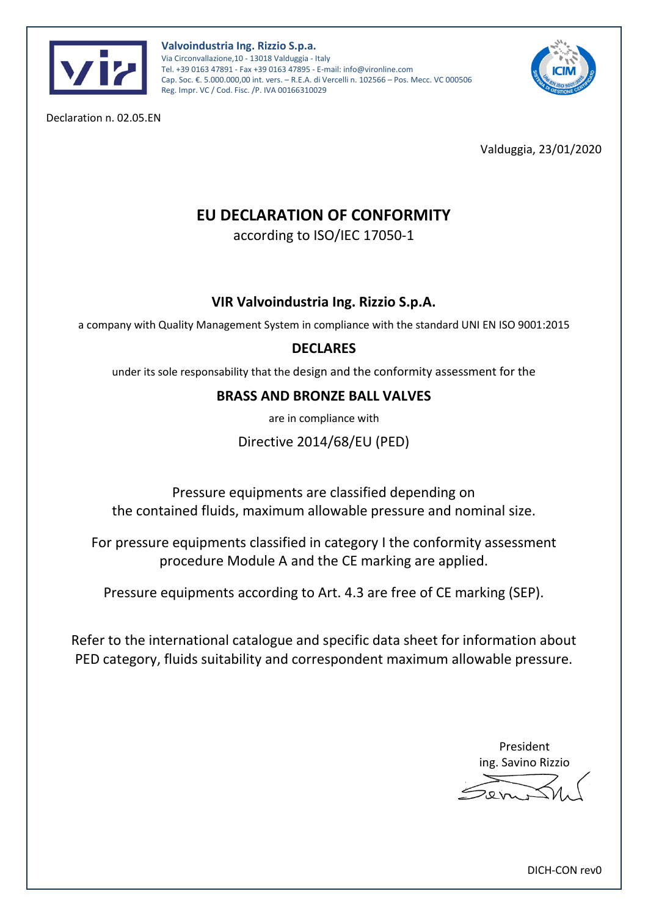



Declaration n. 02.05.EN

Valduggia, 23/01/2020

# **EU DECLARATION OF CONFORMITY**

according to ISO/IEC 17050-1

## **VIR Valvoindustria Ing. Rizzio S.p.A.**

a company with Quality Management System in compliance with the standard UNI EN ISO 9001:2015

## **DECLARES**

under its sole responsability that the design and the conformity assessment for the

### **BRASS AND BRONZE BALL VALVES**

are in compliance with

Directive 2014/68/EU (PED)

Pressure equipments are classified depending on the contained fluids, maximum allowable pressure and nominal size.

For pressure equipments classified in category I the conformity assessment procedure Module A and the CE marking are applied.

Pressure equipments according to Art. 4.3 are free of CE marking (SEP).

Refer to the international catalogue and specific data sheet for information about PED category, fluids suitability and correspondent maximum allowable pressure.

> President ing. Savino Rizzio

DICH-CON rev0